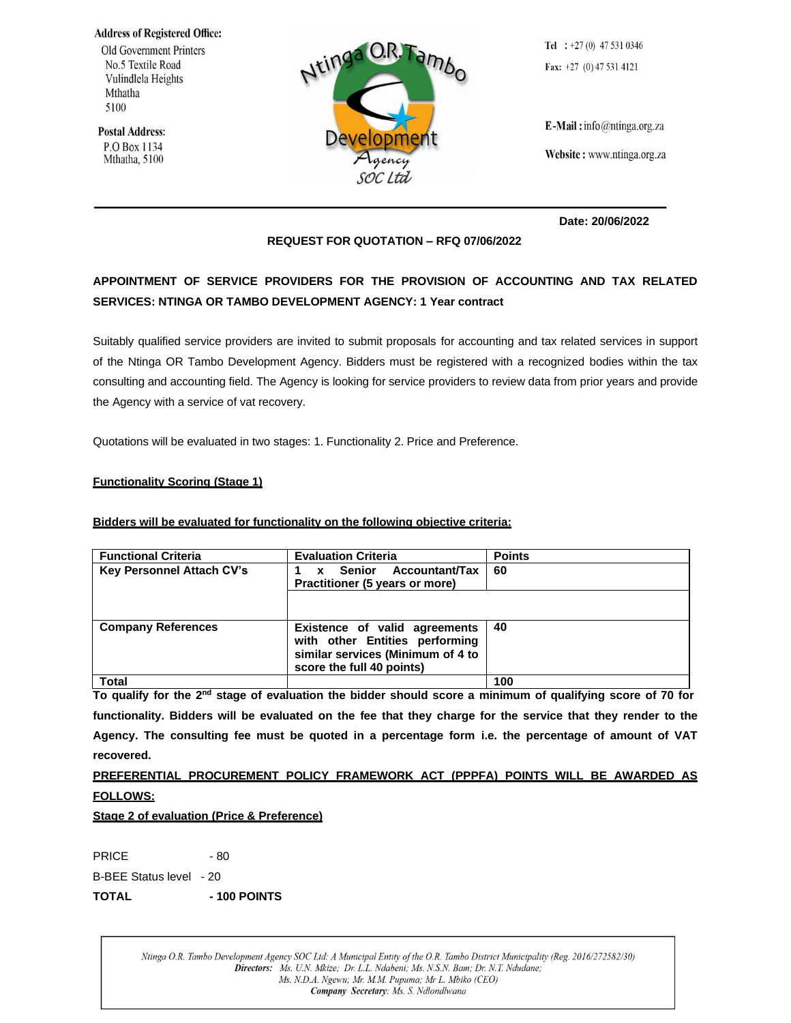**Address of Registered Office:** 

Old Government Printers No.5 Textile Road Vulindlela Heights Mthatha 5100

**Postal Address:** P.O Box 1134 Mthatha, 5100



Tel :  $+27(0)$  47 531 0346 Fax:  $+27$  (0) 47 531 4121

 $E$ -Mail: info@ntinga.org.za

Website: www.ntinga.org.za

**Date: 20/06/2022**

## **REQUEST FOR QUOTATION – RFQ 07/06/2022**

# **APPOINTMENT OF SERVICE PROVIDERS FOR THE PROVISION OF ACCOUNTING AND TAX RELATED SERVICES: NTINGA OR TAMBO DEVELOPMENT AGENCY: 1 Year contract**

Suitably qualified service providers are invited to submit proposals for accounting and tax related services in support of the Ntinga OR Tambo Development Agency. Bidders must be registered with a recognized bodies within the tax consulting and accounting field. The Agency is looking for service providers to review data from prior years and provide the Agency with a service of vat recovery.

Quotations will be evaluated in two stages: 1. Functionality 2. Price and Preference.

### **Functionality Scoring (Stage 1)**

#### **Bidders will be evaluated for functionality on the following objective criteria:**

| <b>Functional Criteria</b>       | <b>Evaluation Criteria</b>                                                                                                        | <b>Points</b> |
|----------------------------------|-----------------------------------------------------------------------------------------------------------------------------------|---------------|
| <b>Key Personnel Attach CV's</b> | Accountant/Tax<br>Senior<br>$\mathbf{x}$<br>Practitioner (5 years or more)                                                        | 60            |
|                                  |                                                                                                                                   |               |
| <b>Company References</b>        | Existence of valid agreements<br>with other Entities performing<br>similar services (Minimum of 4 to<br>score the full 40 points) | 40            |
| <b>Total</b>                     |                                                                                                                                   | 100           |

To qualify for the 2<sup>nd</sup> stage of evaluation the bidder should score a minimum of qualifying score of 70 for functionality. Bidders will be evaluated on the fee that they charge for the service that they render to the Agency. The consulting fee must be quoted in a percentage form i.e. the percentage of amount of VAT **recovered.**

## **PREFERENTIAL PROCUREMENT POLICY FRAMEWORK ACT (PPPFA) POINTS WILL BE AWARDED AS FOLLOWS:**

#### **Stage 2 of evaluation (Price & Preference)**

PRICE - 80

B-BEE Status level - 20

**TOTAL - 100 POINTS**

Ntinga O.R. Tambo Development Agency SOC Ltd: A Municipal Entity of the O.R. Tambo District Municipality (Reg. 2016/272582/30) Directors: Ms. U.N. Mkize; Dr. L.L. Ndabeni; Ms. N.S.N. Bam; Dr. N.T. Ndudane; Ms. N.D.A. Ngewu; Mr. M.M. Pupuma; Mr L. Mbiko (CEO) Company Secretary: Ms. S. Ndlondlwana